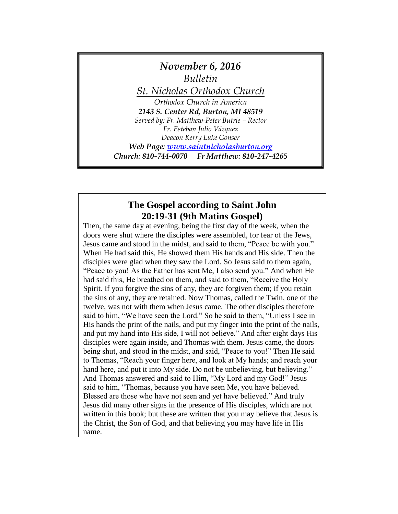

# **The Gospel according to Saint John 20:19-31 (9th Matins Gospel)**

Then, the same day at evening, being the first day of the week, when the doors were shut where the disciples were assembled, for fear of the Jews, Jesus came and stood in the midst, and said to them, "Peace be with you." When He had said this, He showed them His hands and His side. Then the disciples were glad when they saw the Lord. So Jesus said to them again, "Peace to you! As the Father has sent Me, I also send you." And when He had said this, He breathed on them, and said to them, "Receive the Holy Spirit. If you forgive the sins of any, they are forgiven them; if you retain the sins of any, they are retained. Now Thomas, called the Twin, one of the twelve, was not with them when Jesus came. The other disciples therefore said to him, "We have seen the Lord." So he said to them, "Unless I see in His hands the print of the nails, and put my finger into the print of the nails, and put my hand into His side, I will not believe." And after eight days His disciples were again inside, and Thomas with them. Jesus came, the doors being shut, and stood in the midst, and said, "Peace to you!" Then He said to Thomas, "Reach your finger here, and look at My hands; and reach your hand here, and put it into My side. Do not be unbelieving, but believing." And Thomas answered and said to Him, "My Lord and my God!" Jesus said to him, "Thomas, because you have seen Me, you have believed. Blessed are those who have not seen and yet have believed." And truly Jesus did many other signs in the presence of His disciples, which are not written in this book; but these are written that you may believe that Jesus is the Christ, the Son of God, and that believing you may have life in His name.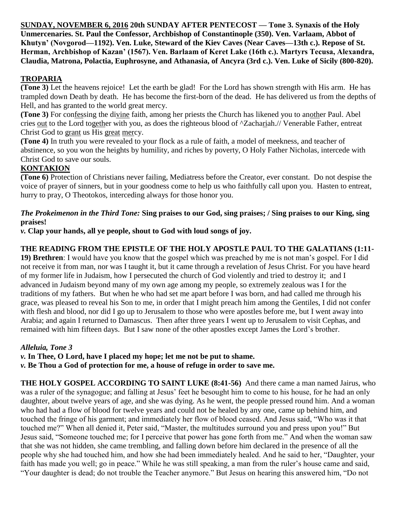**SUNDAY, NOVEMBER 6, 2016 20th SUNDAY AFTER PENTECOST — Tone 3. Synaxis of the Holy Unmercenaries. St. Paul the Confessor, Archbishop of Constantinople (350). Ven. Varlaam, Abbot of Khutyn' (Novgorod—1192). Ven. Luke, Steward of the Kiev Caves (Near Caves—13th c.). Repose of St. Herman, Archbishop of Kazan' (1567). Ven. Barlaam of Keret Lake (16th c.). Martyrs Tecusa, Alexandra, Claudia, Matrona, Polactia, Euphrosyne, and Athanasia, of Ancyra (3rd c.). Ven. Luke of Sicily (800-820).**

# **TROPARIA**

**(Tone 3)** Let the heavens rejoice! Let the earth be glad! For the Lord has shown strength with His arm. He has trampled down Death by death. He has become the first-born of the dead. He has delivered us from the depths of Hell, and has granted to the world great mercy.

**(Tone 3)** For confessing the divine faith, among her priests the Church has likened you to another Paul. Abel cries out to the Lord together with you, as does the righteous blood of ^Zachariah.// Venerable Father, entreat Christ God to grant us His great mercy.

**(Tone 4)** In truth you were revealed to your flock as a rule of faith, a model of meekness, and teacher of abstinence, so you won the heights by humility, and riches by poverty, O Holy Father Nicholas, intercede with Christ God to save our souls.

### **KONTAKION**

**(Tone 6)** Protection of Christians never failing, Mediatress before the Creator, ever constant. Do not despise the voice of prayer of sinners, but in your goodness come to help us who faithfully call upon you. Hasten to entreat, hurry to pray, O Theotokos, interceding always for those honor you.

#### *The Prokeimenon in the Third Tone:* **Sing praises to our God, sing praises; / Sing praises to our King, sing praises!**

*v.* **Clap your hands, all ye people, shout to God with loud songs of joy.**

#### **THE READING FROM THE EPISTLE OF THE HOLY APOSTLE PAUL TO THE GALATIANS (1:11-**

**19) Brethren**: I would have you know that the gospel which was preached by me is not man's gospel. For I did not receive it from man, nor was I taught it, but it came through a revelation of Jesus Christ. For you have heard of my former life in Judaism, how I persecuted the church of God violently and tried to destroy it; and I advanced in Judaism beyond many of my own age among my people, so extremely zealous was I for the traditions of my fathers. But when he who had set me apart before I was born, and had called me through his grace, was pleased to reveal his Son to me, in order that I might preach him among the Gentiles, I did not confer with flesh and blood, nor did I go up to Jerusalem to those who were apostles before me, but I went away into Arabia; and again I returned to Damascus. Then after three years I went up to Jerusalem to visit Cephas, and remained with him fifteen days. But I saw none of the other apostles except James the Lord's brother.

### *Alleluia, Tone 3*

*v.* **In Thee, O Lord, have I placed my hope; let me not be put to shame.**

*v.* **Be Thou a God of protection for me, a house of refuge in order to save me.**

**THE HOLY GOSPEL ACCORDING TO SAINT LUKE (8:41-56)** And there came a man named Jairus, who was a ruler of the synagogue; and falling at Jesus' feet he besought him to come to his house, for he had an only daughter, about twelve years of age, and she was dying. As he went, the people pressed round him. And a woman who had had a flow of blood for twelve years and could not be healed by any one, came up behind him, and touched the fringe of his garment; and immediately her flow of blood ceased. And Jesus said, "Who was it that touched me?" When all denied it, Peter said, "Master, the multitudes surround you and press upon you!" But Jesus said, "Someone touched me; for I perceive that power has gone forth from me." And when the woman saw that she was not hidden, she came trembling, and falling down before him declared in the presence of all the people why she had touched him, and how she had been immediately healed. And he said to her, "Daughter, your faith has made you well; go in peace." While he was still speaking, a man from the ruler's house came and said, "Your daughter is dead; do not trouble the Teacher anymore." But Jesus on hearing this answered him, "Do not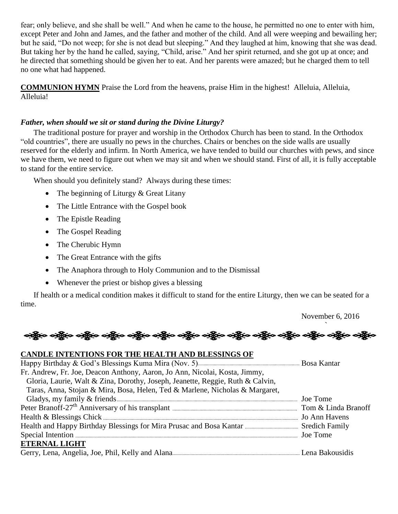fear; only believe, and she shall be well." And when he came to the house, he permitted no one to enter with him, except Peter and John and James, and the father and mother of the child. And all were weeping and bewailing her; but he said, "Do not weep; for she is not dead but sleeping." And they laughed at him, knowing that she was dead. But taking her by the hand he called, saying, "Child, arise." And her spirit returned, and she got up at once; and he directed that something should be given her to eat. And her parents were amazed; but he charged them to tell no one what had happened.

**COMMUNION HYMN** Praise the Lord from the heavens, praise Him in the highest! Alleluia, Alleluia, Alleluia!

#### *Father, when should we sit or stand during the Divine Liturgy?*

The traditional posture for prayer and worship in the Orthodox Church has been to stand. In the Orthodox "old countries", there are usually no pews in the churches. Chairs or benches on the side walls are usually reserved for the elderly and infirm. In North America, we have tended to build our churches with pews, and since we have them, we need to figure out when we may sit and when we should stand. First of all, it is fully acceptable to stand for the entire service.

When should you definitely stand? Always during these times:

- The beginning of Liturgy & Great Litany
- The Little Entrance with the Gospel book
- The Epistle Reading
- The Gospel Reading
- The Cherubic Hymn
- The Great Entrance with the gifts
- The Anaphora through to Holy Communion and to the Dismissal
- Whenever the priest or bishop gives a blessing

If health or a medical condition makes it difficult to stand for the entire Liturgy, then we can be seated for a time.

November 6, 2016

# ` ခရွိက ခရွိက ခရွိက ခရွိက ခရွိက ခရွိက ခရွိက ခရွိက ခရွိက ခရွိက ခရွိက ခရွိက ခရွိက ခရွိက ခရွိက ခရွိက

### **CANDLE INTENTIONS FOR THE HEALTH AND BLESSINGS OF**

| Fr. Andrew, Fr. Joe, Deacon Anthony, Aaron, Jo Ann, Nicolai, Kosta, Jimmy,     |  |
|--------------------------------------------------------------------------------|--|
| Gloria, Laurie, Walt & Zina, Dorothy, Joseph, Jeanette, Reggie, Ruth & Calvin, |  |
| Taras, Anna, Stojan & Mira, Bosa, Helen, Ted & Marlene, Nicholas & Margaret,   |  |
|                                                                                |  |
|                                                                                |  |
|                                                                                |  |
|                                                                                |  |
|                                                                                |  |
| <b>ETERNAL LIGHT</b>                                                           |  |
|                                                                                |  |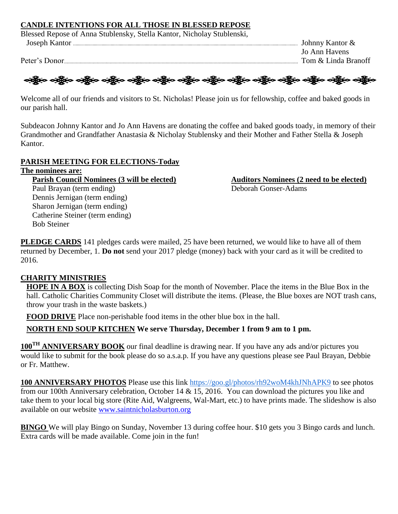#### **CANDLE INTENTIONS FOR ALL THOSE IN BLESSED REPOSE**

Blessed Repose of Anna Stublensky, Stella Kantor, Nicholay Stublenski,

Joseph Kantor Johnny Kantor & Jo Ann Havens Peter's Donor Tom & Linda Branoff



Welcome all of our friends and visitors to St. Nicholas! Please join us for fellowship, coffee and baked goods in our parish hall.

Subdeacon Johnny Kantor and Jo Ann Havens are donating the coffee and baked goods toady, in memory of their Grandmother and Grandfather Anastasia & Nicholay Stublensky and their Mother and Father Stella & Joseph Kantor.

#### **PARISH MEETING FOR ELECTIONS-Today**

#### **The nominees are:**

Bob Steiner

**Parish Council Nominees (3 will be elected) Auditors Nominees (2 need to be elected)** Paul Brayan (term ending) Deborah Gonser-Adams Dennis Jernigan (term ending) Sharon Jernigan (term ending) Catherine Steiner (term ending)

**PLEDGE CARDS** 141 pledges cards were mailed, 25 have been returned, we would like to have all of them returned by December, 1. **Do not** send your 2017 pledge (money) back with your card as it will be credited to 2016.

### **CHARITY MINISTRIES**

**HOPE IN A BOX** is collecting Dish Soap for the month of November. Place the items in the Blue Box in the hall. Catholic Charities Community Closet will distribute the items. (Please, the Blue boxes are NOT trash cans, throw your trash in the waste baskets.)

**FOOD DRIVE** Place non-perishable food items in the other blue box in the hall.

### **NORTH END SOUP KITCHEN We serve Thursday, December 1 from 9 am to 1 pm.**

**100TH ANNIVERSARY BOOK** our final deadline is drawing near. If you have any ads and/or pictures you would like to submit for the book please do so a.s.a.p. If you have any questions please see Paul Brayan, Debbie or Fr. Matthew.

**100 ANNIVERSARY PHOTOS** Please use this link <https://goo.gl/photos/rh92woM4khJNhAPK9> to see photos from our 100th Anniversary celebration, October 14 & 15, 2016. You can download the pictures you like and take them to your local big store (Rite Aid, Walgreens, Wal-Mart, etc.) to have prints made. The slideshow is also available on our website [www.saintnicholasburton.org](http://www.saintnicholasburton.org/)

**BINGO** We will play Bingo on Sunday, November 13 during coffee hour. \$10 gets you 3 Bingo cards and lunch. Extra cards will be made available. Come join in the fun!